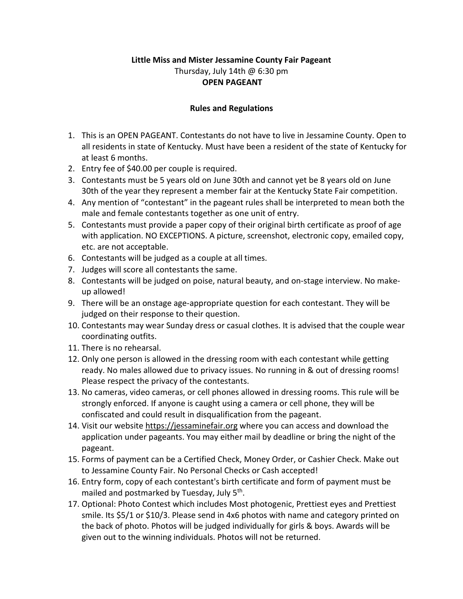## **Little Miss and Mister Jessamine County Fair Pageant** Thursday, July 14th @ 6:30 pm **OPEN PAGEANT**

## **Rules and Regulations**

- 1. This is an OPEN PAGEANT. Contestants do not have to live in Jessamine County. Open to all residents in state of Kentucky. Must have been a resident of the state of Kentucky for at least 6 months.
- 2. Entry fee of \$40.00 per couple is required.
- 3. Contestants must be 5 years old on June 30th and cannot yet be 8 years old on June 30th of the year they represent a member fair at the Kentucky State Fair competition.
- 4. Any mention of "contestant" in the pageant rules shall be interpreted to mean both the male and female contestants together as one unit of entry.
- 5. Contestants must provide a paper copy of their original birth certificate as proof of age with application. NO EXCEPTIONS. A picture, screenshot, electronic copy, emailed copy, etc. are not acceptable.
- 6. Contestants will be judged as a couple at all times.
- 7. Judges will score all contestants the same.
- 8. Contestants will be judged on poise, natural beauty, and on-stage interview. No makeup allowed!
- 9. There will be an onstage age-appropriate question for each contestant. They will be judged on their response to their question.
- 10. Contestants may wear Sunday dress or casual clothes. It is advised that the couple wear coordinating outfits.
- 11. There is no rehearsal.
- 12. Only one person is allowed in the dressing room with each contestant while getting ready. No males allowed due to privacy issues. No running in & out of dressing rooms! Please respect the privacy of the contestants.
- 13. No cameras, video cameras, or cell phones allowed in dressing rooms. This rule will be strongly enforced. If anyone is caught using a camera or cell phone, they will be confiscated and could result in disqualification from the pageant.
- 14. Visit our website [https://jessaminefair.org](https://jessaminefair.org/) where you can access and download the application under pageants. You may either mail by deadline or bring the night of the pageant.
- 15. Forms of payment can be a Certified Check, Money Order, or Cashier Check. Make out to Jessamine County Fair. No Personal Checks or Cash accepted!
- 16. Entry form, copy of each contestant's birth certificate and form of payment must be mailed and postmarked by Tuesday, July 5<sup>th</sup>.
- 17. Optional: Photo Contest which includes Most photogenic, Prettiest eyes and Prettiest smile. Its \$5/1 or \$10/3. Please send in 4x6 photos with name and category printed on the back of photo. Photos will be judged individually for girls & boys. Awards will be given out to the winning individuals. Photos will not be returned.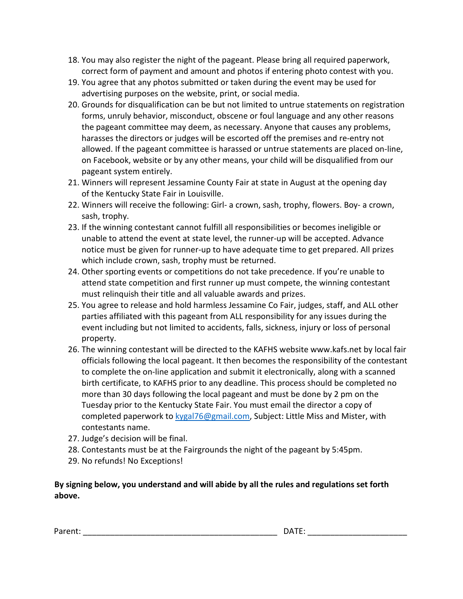- 18. You may also register the night of the pageant. Please bring all required paperwork, correct form of payment and amount and photos if entering photo contest with you.
- 19. You agree that any photos submitted or taken during the event may be used for advertising purposes on the website, print, or social media.
- 20. Grounds for disqualification can be but not limited to untrue statements on registration forms, unruly behavior, misconduct, obscene or foul language and any other reasons the pageant committee may deem, as necessary. Anyone that causes any problems, harasses the directors or judges will be escorted off the premises and re-entry not allowed. If the pageant committee is harassed or untrue statements are placed on-line, on Facebook, website or by any other means, your child will be disqualified from our pageant system entirely.
- 21. Winners will represent Jessamine County Fair at state in August at the opening day of the Kentucky State Fair in Louisville.
- 22. Winners will receive the following: Girl- a crown, sash, trophy, flowers. Boy- a crown, sash, trophy.
- 23. If the winning contestant cannot fulfill all responsibilities or becomes ineligible or unable to attend the event at state level, the runner-up will be accepted. Advance notice must be given for runner-up to have adequate time to get prepared. All prizes which include crown, sash, trophy must be returned.
- 24. Other sporting events or competitions do not take precedence. If you're unable to attend state competition and first runner up must compete, the winning contestant must relinquish their title and all valuable awards and prizes.
- 25. You agree to release and hold harmless Jessamine Co Fair, judges, staff, and ALL other parties affiliated with this pageant from ALL responsibility for any issues during the event including but not limited to accidents, falls, sickness, injury or loss of personal property.
- 26. The winning contestant will be directed to the KAFHS websit[e www.kafs.net](http://www.kafs.net/) by local fair officials following the local pageant. It then becomes the responsibility of the contestant to complete the on-line application and submit it electronically, along with a scanned birth certificate, to KAFHS prior to any deadline. This process should be completed no more than 30 days following the local pageant and must be done by 2 pm on the Tuesday prior to the Kentucky State Fair. You must email the director a copy of completed paperwork to [kygal76@gmail.com,](mailto:kygal76@gmail.com) Subject: Little Miss and Mister, with contestants name.
- 27. Judge's decision will be final.
- 28. Contestants must be at the Fairgrounds the night of the pageant by 5:45pm.
- 29. No refunds! No Exceptions!

**By signing below, you understand and will abide by all the rules and regulations set forth above.**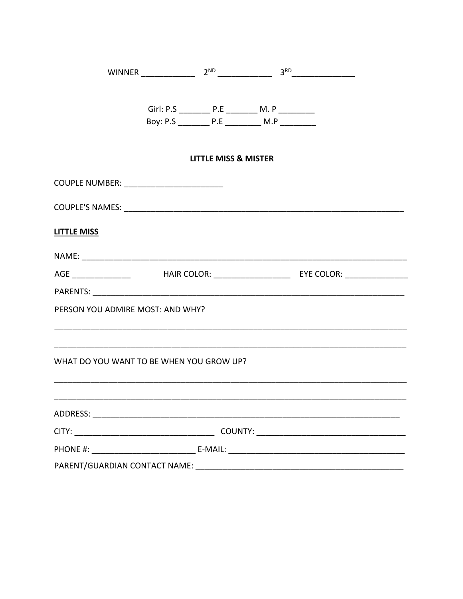|                                           | Girl: P.S ____________ P.E ____________ M. P __________   |                                 |  |
|-------------------------------------------|-----------------------------------------------------------|---------------------------------|--|
|                                           | Boy: P.S ____________ P.E ______________ M.P ____________ |                                 |  |
|                                           |                                                           | <b>LITTLE MISS &amp; MISTER</b> |  |
| COUPLE NUMBER: __________________________ |                                                           |                                 |  |
|                                           |                                                           |                                 |  |
| <b>LITTLE MISS</b>                        |                                                           |                                 |  |
|                                           |                                                           |                                 |  |
|                                           |                                                           |                                 |  |
|                                           |                                                           |                                 |  |
| PERSON YOU ADMIRE MOST: AND WHY?          |                                                           |                                 |  |
|                                           |                                                           |                                 |  |
| WHAT DO YOU WANT TO BE WHEN YOU GROW UP?  |                                                           |                                 |  |
|                                           |                                                           |                                 |  |
|                                           |                                                           |                                 |  |
|                                           |                                                           |                                 |  |
|                                           |                                                           |                                 |  |